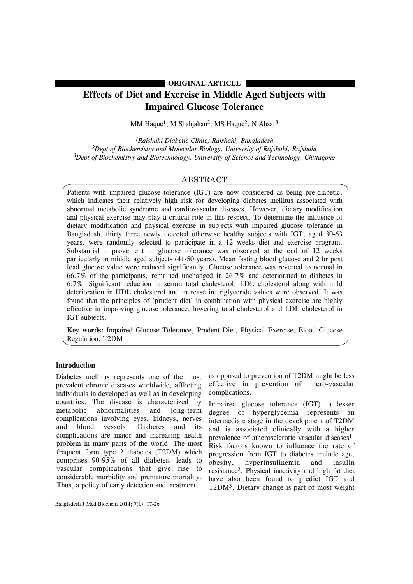### **ORIGINAL ARTICLE**

# **Effects of Diet and Exercise in Middle Aged Subjects with Impaired Glucose Tolerance**

MM Haque<sup>1</sup>, M Shahjahan<sup>2</sup>, MS Haque<sup>2</sup>, N Absar<sup>3</sup>

*1Rajshahi Diabetic Clinic, Rajshahi, Bangladesh 2Dept of Biochemistry and Molecular Biology, University of Rajshahi, Rajshahi 3Dept of Biochemistry and Biotechnology, University of Science and Technology, Chittagong*

## ABSTRACT

Patients with impaired glucose tolerance (IGT) are now considered as being pre-diabetic, which indicates their relatively high risk for developing diabetes mellitus associated with abnormal metabolic syndrome and cardiovascular diseases. However, dietary modification and physical exercise may play a critical role in this respect. To determine the influence of dietary modification and physical exercise in subjects with impaired glucose tolerance in Bangladesh, thirty three newly detected otherwise healthy subjects with IGT, aged 30-63 years, were randomly selected to participate in a 12 weeks diet and exercise program. Substantial improvement in glucose tolerance was observed at the end of 12 weeks particularly in middle aged subjects (41-50 years). Mean fasting blood glucose and 2 hr post load glucose value were reduced significantly. Glucose tolerance was reverted to normal in 66.7% of the participants, remained unchanged in 26.7% and deteriorated to diabetes in 6.7%. Significant reduction in serum total cholesterol, LDL cholesterol along with mild deterioration in HDL cholesterol and increase in triglyceride values were observed. It was found that the principles of 'prudent diet' in combination with physical exercise are highly effective in improving glucose tolerance, lowering total cholesterol and LDL cholesterol in IGT subjects.

**Key words:** Impaired Glucose Tolerance, Prudent Diet, Physical Exercise, Blood Glucose Regulation, T2DM

### **Introduction**

Diabetes mellitus represents one of the most prevalent chronic diseases worldwide, afflicting individuals in developed as well as in developing countries. The disease is characterized by metabolic abnormalities and long-term complications involving eyes, kidneys, nerves and blood vessels. Diabetes and its complications are major and increasing health problem in many parts of the world. The most frequent form type 2 diabetes (T2DM) which comprises 90-95% of all diabetes, leads to vascular complications that give rise to considerable morbidity and premature mortality. Thus, a policy of early detection and treatment,

as opposed to prevention of T2DM might be less effective in prevention of micro-vascular complications.

Impaired glucose tolerance (IGT), a lesser degree of hyperglycemia represents an intermediate stage in the development of T2DM and is associated clinically with a higher prevalence of atherosclerotic vascular diseases<sup>1</sup>. Risk factors known to influence the rate of progression from IGT to diabetes include age,<br>obesity, hyperinsulinemia and insulin obesity, hyperinsulinemia and insulin resistance2. Physical inactivity and high fat diet have also been found to predict IGT and T2DM3. Dietary change is part of most weight

Bangladesh J Med Biochem 2014; 7(1): 17-26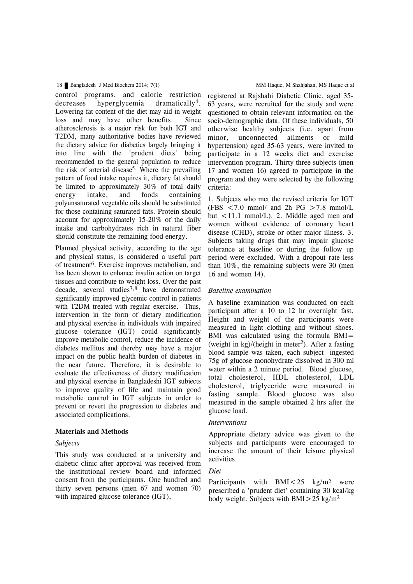control programs, and calorie restriction decreases hyperglycemia dramatically<sup>4</sup>. Lowering fat content of the diet may aid in weight loss and may have other benefits. Since atherosclerosis is a major risk for both IGT and T2DM, many authoritative bodies have reviewed the dietary advice for diabetics largely bringing it into line with the 'prudent diets' being recommended to the general population to reduce the risk of arterial disease<sup>5.</sup> Where the prevailing pattern of food intake requires it, dietary fat should be limited to approximately 30% of total daily energy intake, and foods containing polyunsaturated vegetable oils should be substituted for those containing saturated fats. Protein should account for approximately 15-20% of the daily intake and carbohydrates rich in natural fiber should constitute the remaining food energy.

Planned physical activity, according to the age and physical status, is considered a useful part of treatment 6. Exercise improves metabolism, and has been shown to enhance insulin action on target tissues and contribute to weight loss. Over the past decade, several studies7,8 have demonstrated significantly improved glycemic control in patients with T2DM treated with regular exercise. Thus, intervention in the form of dietary modification and physical exercise in individuals with impaired glucose tolerance (IGT) could significantly improve metabolic control, reduce the incidence of diabetes mellitus and thereby may have a major impact on the public health burden of diabetes in the near future. Therefore, it is desirable to evaluate the effectiveness of dietary modification and physical exercise in Bangladeshi IGT subjects to improve quality of life and maintain good metabolic control in IGT subjects in order to prevent or revert the progression to diabetes and associated complications.

#### **Materials and Methods**

#### *Subjects*

This study was conducted at a university and diabetic clinic after approval was received from the institutional review board and informed consent from the participants. One hundred and thirty seven persons (men 67 and women 70) with impaired glucose tolerance (IGT),

registered at Rajshahi Diabetic Clinic, aged 35- 63 years, were recruited for the study and were questioned to obtain relevant information on the socio-demographic data. Of these individuals, 50 otherwise healthy subjects (i.e. apart from minor, unconnected ailments or mild hypertension) aged 35-63 years, were invited to participate in a 12 weeks diet and exercise intervention program. Thirty three subjects (men 17 and women 16) agreed to participate in the program and they were selected by the following criteria:

1. Subjects who met the revised criteria for IGT (FBS  $\lt$  7.0 mmol/ and 2h PG  $>$  7.8 mmol/L but <11.1 mmol/L). 2. Middle aged men and women without evidence of coronary heart disease (CHD), stroke or other major illness. 3. Subjects taking drugs that may impair glucose tolerance at baseline or during the follow up period were excluded. With a dropout rate less than 10%, the remaining subjects were 30 (men 16 and women 14).

#### *Baseline examination*

A baseline examination was conducted on each participant after a 10 to 12 hr overnight fast. Height and weight of the participants were measured in light clothing and without shoes. BMI was calculated using the formula BMI= (weight in kg)/(height in meter<sup>2</sup>). After a fasting blood sample was taken, each subject ingested 75g of glucose monohydrate dissolved in 300 ml water within a 2 minute period. Blood glucose, total cholesterol, HDL cholesterol, LDL cholesterol, triglyceride were measured in fasting sample. Blood glucose was also measured in the sample obtained 2 hrs after the glucose load.

#### *Interventions*

Appropriate dietary advice was given to the subjects and participants were encouraged to increase the amount of their leisure physical activities.

### *Diet*

Participants with  $BMI < 25$  kg/m<sup>2</sup> were prescribed a 'prudent diet' containing 30 kcal/kg body weight. Subjects with BMI $>$ 25 kg/m<sup>2</sup>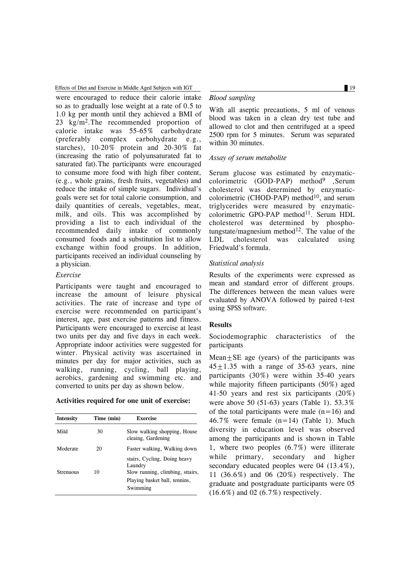Effects of Diet and Exercise in Middle Aged Subjects with IGT 19

were encouraged to reduce their calorie intake so as to gradually lose weight at a rate of 0.5 to 1.0 kg per month until they achieved a BMI of 23 kg/m2.The recommended proportion of calorie intake was 55-65% carbohydrate (preferably complex carbohydrate e.g., starches), 10-20% protein and 20-30% fat (increasing the ratio of polyunsaturated fat to saturated fat).The participants were encouraged to consume more food with high fiber content, (e.g., whole grains, fresh fruits, vegetables) and reduce the intake of simple sugars. Individual's goals were set for total calorie consumption, and daily quantities of cereals, vegetables, meat, milk, and oils. This was accomplished by providing a list to each individual of the recommended daily intake of commonly consumed foods and a substitution list to allow exchange within food groups. In addition, participants received an individual counseling by a physician.

### *Exercise*

Participants were taught and encouraged to increase the amount of leisure physical activities. The rate of increase and type of exercise were recommended on participant's interest, age, past exercise patterns and fitness. Participants were encouraged to exercise at least two units per day and five days in each week. Appropriate indoor activities were suggested for winter. Physical activity was ascertained in minutes per day for major activities, such as walking, running, cycling, ball playing, aerobics, gardening and swimming etc. and converted to units per day as shown below.

### **Activities required for one unit of exercise:**

| Intensity        | Time (min) | <b>Exercise</b>                                                                                                          |
|------------------|------------|--------------------------------------------------------------------------------------------------------------------------|
| Mild             | 30         | Slow walking shopping, House<br>cleaing, Gardening                                                                       |
| Moderate         | 20         | Faster walking, Walking down                                                                                             |
| <b>Strenuous</b> | 10         | stairs, Cycling, Doing heavy<br>Laundry<br>Slow running, climbing, sttairs,<br>Playing basket ball, tennins,<br>Swimming |

### *Blood sampling*

With all aseptic precautions, 5 ml of venous blood was taken in a clean dry test tube and allowed to clot and then centrifuged at a speed 2500 rpm for 5 minutes. Serum was separated within 30 minutes.

### *Assay of serum metabolite*

Serum glucose was estimated by enzymaticcolorimetric (GOD-PAP) method9 ,Serum cholesterol was determined by enzymaticcolorimetric (CHOD-PAP) method<sup>10</sup>, and serum triglycerides were measured by enzymaticcolorimetric GPO-PAP method<sup>11</sup>. Serum HDL cholesterol was determined by phosphotungstate/magnesium method<sup>12</sup>. The value of the LDL cholesterol was calculated using Friedwald's formula.

### *Statistical analysis*

Results of the experiments were expressed as mean and standard error of different groups. The differences between the mean values were evaluated by ANOVA followed by paired t-test using SPSS software.

### **Results**

Sociodemographic characteristics of the participants

Mean $\pm$ SE age (years) of the participants was  $45 \pm 1.35$  with a range of 35-63 years, nine participants (30%) were within 35-40 years while majority fifteen participants (50%) aged 41-50 years and rest six participants (20%) were above 50 (51-63) years (Table 1). 53.3% of the total participants were male  $(n=16)$  and 46.7% were female (n=14) (Table 1). Much diversity in education level was observed among the participants and is shown in Table 1, where two peoples (6.7%) were illiterate while primary, secondary and higher secondary educated peoples were 04 (13.4%), 11 (36.6%) and 06 (20%) respectively. The graduate and postgraduate participants were 05 (16.6%) and 02 (6.7%) respectively.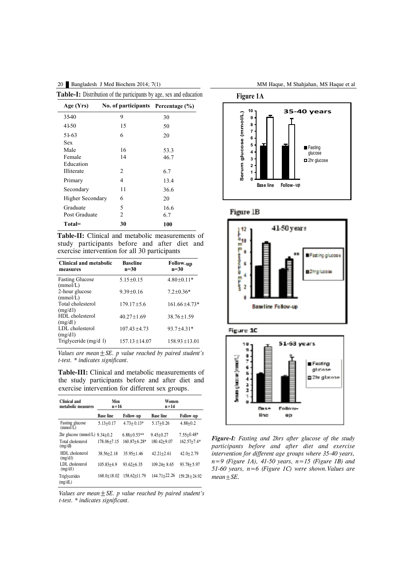| <b>Table-I:</b> Distribution of the participants by age, sex and education |                                    |             |  |  |
|----------------------------------------------------------------------------|------------------------------------|-------------|--|--|
| Age (Yrs)                                                                  | No. of participants Percentage (%) |             |  |  |
| 3540                                                                       | 9                                  | 30          |  |  |
| 41-50                                                                      | 15                                 | 50          |  |  |
| $51-63$<br>Sex                                                             | 6                                  | 20          |  |  |
| Male                                                                       | 16                                 | 53.3        |  |  |
| Female<br>Education                                                        | 14                                 | 46.7        |  |  |
| Illiterate                                                                 | 2                                  | 6.7         |  |  |
| Primary                                                                    | 4                                  | 13.4        |  |  |
| Secondary                                                                  | 11                                 | 36.6        |  |  |
| <b>Higher Secondary</b>                                                    | 6                                  | 20          |  |  |
| Graduate<br>Post Graduate                                                  | 5<br>$\mathfrak{D}$                | 16.6<br>6.7 |  |  |
| Total=                                                                     | 30                                 | 100         |  |  |

**Table-II:** Clinical and metabolic measurements of study participants before and after diet and exercise intervention for all 30 participants

| Clinical and metabolic<br>measures | <b>Baseline</b><br>$n = 30$ | <b>Follow-up</b><br>$n=30$ |
|------------------------------------|-----------------------------|----------------------------|
| <b>Fasting Glucose</b><br>(mmol/L) | $5.15 + 0.15$               | $4.80+0.11*$               |
| 2-hour glucose<br>(mmol/L)         | $9.39 + 0.16$               | $7.2 \pm 0.36*$            |
| Total cholesterol<br>(mg/dl)       | $179.17 + 5.6$              | $161.66 + 4.73*$           |
| HDL cholesterol<br>(mg/dl)         | $40.27 + 1.69$              | $38.76 + 1.59$             |
| LDL cholesterol<br>(mg/dl)         | $107.43 + 4.73$             | $93.7 + 4.31*$             |
| Triglyceride (mg/d 1)              | $157.13 + 14.07$            | $158.93 + 13.01$           |

*Values are mean* $\pm$ *SE. p value reached by paired student's t-test. \* indicates significant.*

**Table-III:** Clinical and metabolic measurements of the study participants before and after diet and exercise intervention for different sex groups.

| Clinical and<br>metabolic measures | Men<br>$n = 16$  |                  | Women<br>$n = 14$ |                  |
|------------------------------------|------------------|------------------|-------------------|------------------|
|                                    | <b>Base line</b> | <b>Follow-up</b> | <b>Base line</b>  | <b>Follow-up</b> |
| Fasting glucose<br>(mmol/L)        | $5.13 + 0.17$    | $4.73 + 0.13*$   | $5.17 + 0.26$     | $4.88 + 0.2$     |
| $2hr$ glucose (mmol/L)             | $9.34 + 0.2$     | $6.88 + 0.53**$  | $9.45 + 0.27$     | $7.55 + 0.48*$   |
| Total cholesterol<br>(mg/d)        | 178.06+7.15      | $160.87 + 6.28*$ | $180.42 + 9.07$   | $162.57 + 7.4*$  |
| HDL cholesterol<br>(mg/dl)         | $38.56 + 2.18$   | $35.95 + 1.46$   | $42.21 + 2.61$    | $42.0 + 2.79$    |
| LDL cholesterol<br>(mg/dl)         | $105.83 + 4.9$   | $93.62 + 6.35$   | $109.24 + 8.65$   | $93.78 + 5.97$   |
| Triglycerides<br>(mg/dL)           | $168.0 + 18.02$  | 158.62+11.79     | 144.71+22.26      | $159.28 + 24.92$ |

*Values are mean*±*SE. p value reached by paired student's t-test. \* indicates significant.*







#### Figure 1C



*Figure-I: Fasting and 2hrs after glucose of the study participants before and after diet and exercise intervention for different age groups where 35-40 years, n=9 (Figure 1A), 41-50 years, n=15 (Figure 1B) and 51-60 years, n=6 (Figure 1C) were shown.Values are mean±SE.*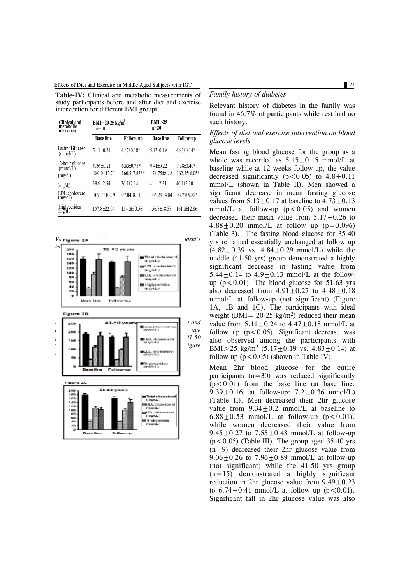Effects of Diet and Exercise in Middle Aged Subjects with IGT 21

**Table-IV:** Clinical and metabolic measurements of study participants before and after diet and exercise intervention for different BMI groups

| Clinical and<br>metabolic<br>measures | $BMI = 20-25 kg/m2$<br>$n=10$      |                                    | BMI >25<br>$n=20$              |                                         |
|---------------------------------------|------------------------------------|------------------------------------|--------------------------------|-----------------------------------------|
|                                       | <b>Base line</b>                   | <b>Follow-up</b>                   | <b>Base line</b>               | Follow-up                               |
| <b>Fasting Glucose</b><br>(mmol/L)    | $5.11 \pm 0.24$                    | $4.47\pm0.18*$                     | $5.17 + 0.19$                  | $4.83\pm0.14*$                          |
| 2-hour glucose<br>(mmol/L)<br>(mg/dl) | $9.36 \pm 0.21$<br>$180.0 + 12.71$ | $6.83\pm0.75*$<br>$160.5 + 7.83**$ | $9.41 + 0.22$<br>178.75 \$5.79 | $7.38\pm0.40*$<br>$162.25\text{±}6.05*$ |
| (mg/dl)                               | $38.6 + 2.54$                      | $36.1 + 2.14$                      | $41.1 + 2.21$                  | $40.1 + 2.10$                           |
| LDL cholesterol<br>(mg/d l)           | $109.7 + 10.79$                    | $97.04 + 8.11$                     | $106.29 + 4.84$                | 93.77±5.82*                             |
| Triglycerides<br>(mg/d1)              | $157.8 + 22.04$                    | 154.3 + 30.56                      | 156.8+18.38                    | $161.3 \pm 12.86$                       |



#### *Family history of diabetes*

Relevant history of diabetes in the family was found in 46.7% of participants while rest had no such history.

### *Effects of diet and exercise intervention on blood glucose levels*

Mean fasting blood glucose for the group as a whole was recorded as  $5.15 \pm 0.15$  mmol/L at baseline while at 12 weeks follow-up, the value decreased significantly ( $p < 0.05$ ) to  $4.8 \pm 0.11$ mmol/L (shown in Table II). Men showed a significant decrease in mean fasting glucose values from  $5.13 \pm 0.17$  at baseline to  $4.73 \pm 0.13$ mmol/L at follow-up  $(p<0.05)$  and women decreased their mean value from  $5.17+0.26$  to  $4.88 + 0.20$  mmol/L at follow up (p=0.096) (Table 3). The fasting blood glucose for 35-40 yrs remained essentially unchanged at follow up  $(4.82 \pm 0.39 \text{ vs. } 4.84 \pm 0.29 \text{ mmol/L})$  while the middle (41-50 yrs) group demonstrated a highly significant decrease in fasting value from 5.44 $\pm$ 0.14 to 4.9 $\pm$ 0.13 mmol/L at the followup  $(p<0.01)$ . The blood glucose for 51-63 yrs also decreased from  $4.91 \pm 0.27$  to  $4.48 \pm 0.18$ mmol/L at follow-up (not significant) (Figure 1A, 1B and 1C). The participants with ideal weight (BMI =  $20-25 \text{ kg/m}^2$ ) reduced their mean value from  $5.11 \pm 0.24$  to  $4.47 \pm 0.18$  mmol/L at follow up  $(p<0.05)$ . Significant decrease was also observed among the participants with BMI $>$ 25 kg/m<sup>2</sup> (5.17 $\pm$ 0.19 vs. 4.83 $\pm$ 0.14) at follow-up  $(p < 0.05)$  (shown in Table IV).

Mean 2hr blood glucose for the entire participants  $(n=30)$  was reduced significantly  $(p<0.01)$  from the base line (at base line: 9.39 $\pm$ 0.16; at follow-up: 7.2 $\pm$ 0.36 mmol/L) (Table II). Men decreased their 2hr glucose value from  $9.34+0.2$  mmol/L at baseline to 6.88+0.53 mmol/L at follow-up  $(p < 0.01)$ , while women decreased their value from 9.45 $\pm$ 0.27 to 7.55 $\pm$ 0.48 mmol/L at follow-up  $(p<0.05)$  (Table III). The group aged 35-40 yrs (n=9) decreased their 2hr glucose value from 9.06 $\pm$ 0.26 to 7.96 $\pm$ 0.89 mmol/L at follow-up (not significant) while the 41-50 yrs group  $(n=15)$  demonstrated a highly significant reduction in 2hr glucose value from  $9.49+0.23$ to  $6.74 + 0.41$  mmol/L at follow up  $(p < 0.01)$ . Significant fall in 2hr glucose value was also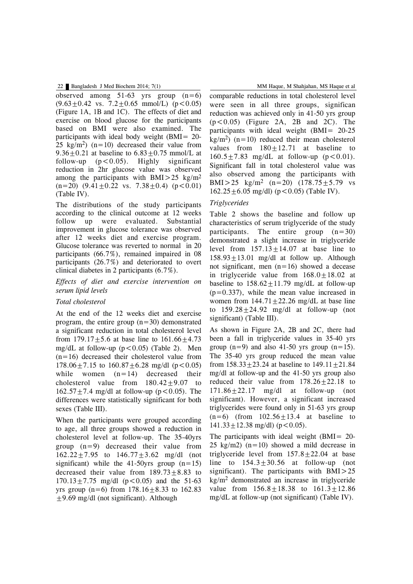observed among  $51-63$  yrs group  $(n=6)$  $(9.63 \pm 0.42 \text{ vs. } 7.2 \pm 0.65 \text{ mmol/L})$  (p < 0.05) (Figure 1A, 1B and 1C). The effects of diet and exercise on blood glucose for the participants based on BMI were also examined. The participants with ideal body weight (BMI= 20- 25 kg/m<sup>2</sup>) (n=10) decreased their value from 9.36 $\pm$ 0.21 at baseline to 6.83 $\pm$ 0.75 mmol/L at follow-up  $(p<0.05)$ . Highly significant reduction in 2hr glucose value was observed among the participants with BMI $>$ 25 kg/m<sup>2</sup>  $(n=20)$   $(9.41 \pm 0.22$  vs.  $7.38 \pm 0.4$   $(p < 0.01)$ (Table IV).

The distributions of the study participants according to the clinical outcome at 12 weeks follow up were evaluated. Substantial improvement in glucose tolerance was observed after 12 weeks diet and exercise program. Glucose tolerance was reverted to normal in 20 participants (66.7%), remained impaired in 08 participants (26.7%) and deteriorated to overt clinical diabetes in 2 participants (6.7%).

### *Effects of diet and exercise intervention on serum lipid levels*

### *Total cholesterol*

At the end of the 12 weeks diet and exercise program, the entire group (n=30) demonstrated a significant reduction in total cholesterol level from  $179.17 \pm 5.6$  at base line to  $161.66 \pm 4.73$ mg/dL at follow-up  $(p<0.05)$  (Table 2). Men  $(n=16)$  decreased their cholesterol value from 178.06 $\pm$ 7.15 to 160.87 $\pm$ 6.28 mg/dl (p<0.05) while women  $(n=14)$  decreased their cholesterol value from  $180.42 \pm 9.07$  to  $162.57 + 7.4$  mg/dl at follow-up (p < 0.05). The differences were statistically significant for both sexes (Table III).

When the participants were grouped according to age, all three groups showed a reduction in cholesterol level at follow-up. The 35-40yrs group (n=9) decreased their value from  $162.22 \pm 7.95$  to  $146.77 \pm 3.62$  mg/dl (not significant) while the 41-50yrs group  $(n=15)$ decreased their value from  $189.73 \pm 8.83$  to  $170.13 \pm 7.75$  mg/dl (p < 0.05) and the 51-63 yrs group (n=6) from  $178.16 \pm 8.33$  to  $162.83$  $\pm$ 9.69 mg/dl (not significant). Although

comparable reductions in total cholesterol level were seen in all three groups, significan reduction was achieved only in 41-50 yrs group  $(p<0.05)$  (Figure 2A, 2B and 2C). The participants with ideal weight (BMI= 20-25  $kg/m<sup>2</sup>$  (n=10) reduced their mean cholesterol values from  $180+12.71$  at baseline to  $160.5 + 7.83$  mg/dL at follow-up (p < 0.01). Significant fall in total cholesterol value was also observed among the participants with BMI $>25$  kg/m<sup>2</sup> (n=20) (178.75+5.79 vs  $162.25 \pm 6.05$  mg/dl) (p < 0.05) (Table IV).

### *Triglycerides*

Table 2 shows the baseline and follow up characteristics of serum triglyceride of the study participants. The entire group  $(n=30)$ demonstrated a slight increase in triglyceride level from  $157.13+14.07$  at base line to  $158.93 \pm 13.01$  mg/dl at follow up. Although not significant, men  $(n=16)$  showed a decease in triglyceride value from  $168.0 \pm 18.02$  at baseline to  $158.62 \pm 11.79$  mg/dL at follow-up  $(p=0.337)$ , while the mean value increased in women from  $144.71 + 22.26$  mg/dL at base line to  $159.28 \pm 24.92$  mg/dl at follow-up (not significant) (Table III).

As shown in Figure 2A, 2B and 2C, there had been a fall in triglyceride values in 35-40 yrs group  $(n=9)$  and also 41-50 yrs group  $(n=15)$ . The 35-40 yrs group reduced the mean value from  $158.33 + 23.24$  at baseline to  $149.11 + 21.84$ mg/dl at follow-up and the 41-50 yrs group also reduced their value from  $178.26 \pm 22.18$  to  $171.86 \pm 22.17$  mg/dl at follow-up (not significant). However, a significant increased triglycerides were found only in 51-63 yrs group  $(n=6)$  (from  $102.56 \pm 13.4$  at baseline to  $141.33 \pm 12.38$  mg/dl) (p < 0.05).

The participants with ideal weight (BMI= 20- 25 kg/m2)  $(n=10)$  showed a mild decrease in triglyceride level from  $157.8 \pm 22.04$  at base line to  $154.3 \pm 30.56$  at follow-up (not significant). The participants with BMI>25  $kg/m<sup>2</sup>$  demonstrated an increase in triglyceride value from  $156.8 \pm 18.38$  to  $161.3 \pm 12.86$ mg/dL at follow-up (not significant) (Table IV).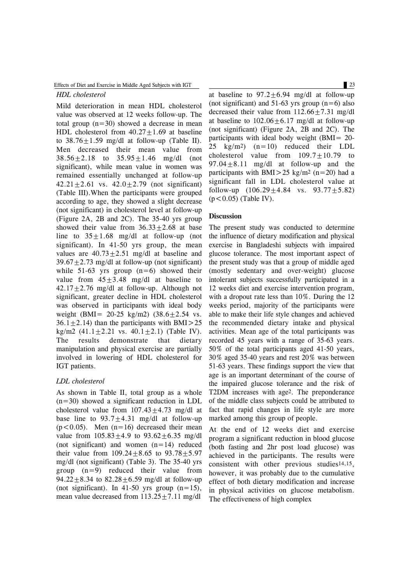#### Effects of Diet and Exercise in Middle Aged Subjects with IGT 23

#### *HDL cholesterol*

Mild deterioration in mean HDL cholesterol value was observed at 12 weeks follow-up. The total group  $(n=30)$  showed a decrease in mean HDL cholesterol from  $40.27 \pm 1.69$  at baseline to  $38.76 \pm 1.59$  mg/dl at follow-up (Table II). Men decreased their mean value from  $38.56 \pm 2.18$  to  $35.95 \pm 1.46$  mg/dl (not significant), while mean value in women was remained essentially unchanged at follow-up 42.21 $\pm$ 2.61 vs. 42.0 $\pm$ 2.79 (not significant) (Table III).When the participants were grouped according to age, they showed a slight decrease (not significant) in cholesterol level at follow-up (Figure 2A, 2B and 2C). The 35-40 yrs group showed their value from  $36.33+2.68$  at base line to  $35+1.68$  mg/dl at follow-up (not significant). In 41-50 yrs group, the mean values are  $40.73 \pm 2.51$  mg/dl at baseline and  $39.67 + 2.73$  mg/dl at follow-up (not significant) while  $51-63$  yrs group  $(n=6)$  showed their value from  $45 \pm 3.48$  mg/dl at baseline to  $42.17+2.76$  mg/dl at follow-up. Although not significant, greater decline in HDL cholesterol was observed in participants with ideal body weight (BMI=  $20-25$  kg/m2) (38.6 $\pm$ 2.54 vs.  $36.1 \pm 2.14$ ) than the participants with BMI > 25 kg/m2  $(41.1 \pm 2.21 \text{ vs. } 40.1 \pm 2.1)$  (Table IV). The results demonstrate that dietary manipulation and physical exercise are partially involved in lowering of HDL cholesterol for IGT patients.

#### *LDL cholesterol*

As shown in Table II, total group as a whole (n=30) showed a significant reduction in LDL cholesterol value from  $107.43+4.73$  mg/dl at base line to  $93.7 \pm 4.31$  mg/dl at follow-up  $(p<0.05)$ . Men  $(n=16)$  decreased their mean value from  $105.83 \pm 4.9$  to  $93.62 \pm 6.35$  mg/dl (not significant) and women  $(n=14)$  reduced their value from  $109.24 + 8.65$  to  $93.78 + 5.97$ mg/dl (not significant) (Table 3). The 35-40 yrs group (n=9) reduced their value from 94.22 $\pm$ 8.34 to 82.28 $\pm$ 6.59 mg/dl at follow-up (not significant). In 41-50 yrs group  $(n=15)$ , mean value decreased from  $113.25 \pm 7.11$  mg/dl

at baseline to  $97.2 \pm 6.94$  mg/dl at follow-up (not significant) and  $51-63$  yrs group (n=6) also decreased their value from  $112.66 \pm 7.31$  mg/dl at baseline to  $102.06 \pm 6.17$  mg/dl at follow-up (not significant) (Figure 2A, 2B and 2C). The participants with ideal body weight (BMI= 20- 25 kg/m2) (n=10) reduced their LDL cholesterol value from  $109.7 \pm 10.79$  to  $97.04 \pm 8.11$  mg/dl at follow-up and the participants with BMI $>$ 25 kg/m<sup>2</sup> (n=20) had a significant fall in LDL cholesterol value at follow-up  $(106.29 \pm 4.84 \text{ vs. } 93.77 \pm 5.82)$  $(p<0.05)$  (Table IV).

#### **Discussion**

The present study was conducted to determine the influence of dietary modification and physical exercise in Bangladeshi subjects with impaired glucose tolerance. The most important aspect of the present study was that a group of middle aged (mostly sedentary and over-weight) glucose intolerant subjects successfully participated in a 12 weeks diet and exercise intervention program, with a dropout rate less than 10%. During the 12 weeks period, majority of the participants were able to make their life style changes and achieved the recommended dietary intake and physical activities. Mean age of the total participants was recorded 45 years with a range of 35-63 years. 50% of the total participants aged 41-50 years, 30% aged 35-40 years and rest 20% was between 51-63 years. These findings support the view that age is an important determinant of the course of the impaired glucose tolerance and the risk of T2DM increases with age2. The preponderance of the middle class subjects could be attributed to fact that rapid changes in life style are more marked among this group of people.

At the end of 12 weeks diet and exercise program a significant reduction in blood glucose (both fasting and 2hr post load glucose) was achieved in the participants. The results were consistent with other previous studies14,15, however, it was probably due to the cumulative effect of both dietary modification and increase in physical activities on glucose metabolism. The effectiveness of high complex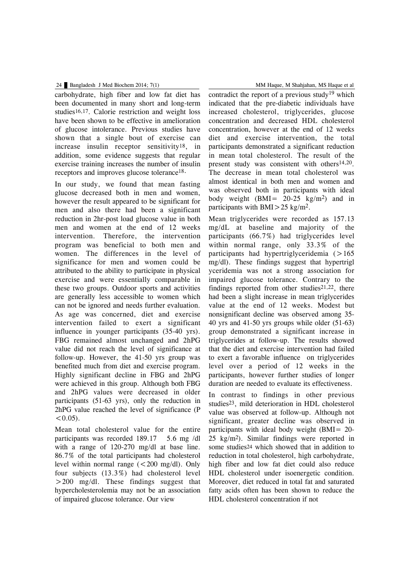carbohydrate, high fiber and low fat diet has been documented in many short and long-term studies16,17. Calorie restriction and weight loss have been shown to be effective in amelioration of glucose intolerance. Previous studies have shown that a single bout of exercise can increase insulin receptor sensitivity18, in addition, some evidence suggests that regular exercise training increases the number of insulin receptors and improves glucose tolerance<sup>18.</sup>

In our study, we found that mean fasting glucose decreased both in men and women, however the result appeared to be significant for men and also there had been a significant reduction in 2hr-post load glucose value in both men and women at the end of 12 weeks intervention. Therefore, the intervention program was beneficial to both men and women. The differences in the level of significance for men and women could be attributed to the ability to participate in physical exercise and were essentially comparable in these two groups. Outdoor sports and activities are generally less accessible to women which can not be ignored and needs further evaluation. As age was concerned, diet and exercise intervention failed to exert a significant influence in younger participants (35-40 yrs). FBG remained almost unchanged and 2hPG value did not reach the level of significance at follow-up. However, the 41-50 yrs group was benefited much from diet and exercise program. Highly significant decline in FBG and 2hPG were achieved in this group. Although both FBG and 2hPG values were decreased in older participants (51-63 yrs), only the reduction in 2hPG value reached the level of significance (P  $< 0.05$ ).

Mean total cholesterol value for the entire participants was recorded 189.17 5.6 mg /dl with a range of 120-270 mg/dl at base line. 86.7% of the total participants had cholesterol level within normal range  $\left($  < 200 mg/dl). Only four subjects (13.3%) had cholesterol level >200 mg/dl. These findings suggest that hypercholesterolemia may not be an association of impaired glucose tolerance. Our view

contradict the report of a previous study<sup>19</sup> which indicated that the pre-diabetic individuals have increased cholesterol, triglycerides, glucose concentration and decreased HDL cholesterol concentration, however at the end of 12 weeks diet and exercise intervention, the total participants demonstrated a significant reduction in mean total cholesterol. The result of the present study was consistent with others14,20. The decrease in mean total cholesterol was almost identical in both men and women and was observed both in participants with ideal body weight  $(BMI = 20-25 \text{ kg/m}^2)$  and in participants with BMI $>$ 25 kg/m<sup>2</sup>.

Mean triglycerides were recorded as 157.13 mg/dL at baseline and majority of the participants (66.7%) had triglycerides level within normal range, only 33.3% of the participants had hypertriglyceridemia  $(>165$ mg/dl). These findings suggest that hypertrigl yceridemia was not a strong association for impaired glucose tolerance. Contrary to the findings reported from other studies $21,22$ , there had been a slight increase in mean triglycerides value at the end of 12 weeks. Modest but nonsignificant decline was observed among 35- 40 yrs and 41-50 yrs groups while older (51-63) group demonstrated a significant increase in triglycerides at follow-up. The results showed that the diet and exercise intervention had failed to exert a favorable influence on triglycerides level over a period of 12 weeks in the participants, however further studies of longer duration are needed to evaluate its effectiveness.

In contrast to findings in other previous studies23, mild deterioration in HDL cholesterol value was observed at follow-up. Although not significant, greater decline was observed in participants with ideal body weight (BMI= 20- 25 kg/m2). Similar findings were reported in some studies24 which showed that in addition to reduction in total cholesterol, high carbohydrate, high fiber and low fat diet could also reduce HDL cholesterol under isoenergetic condition. Moreover, diet reduced in total fat and saturated fatty acids often has been shown to reduce the HDL cholesterol concentration if not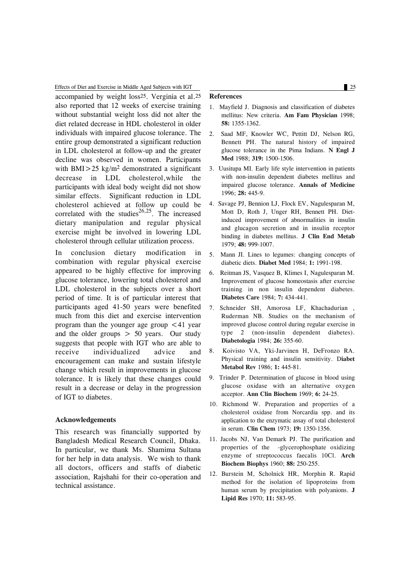Effects of Diet and Exercise in Middle Aged Subjects with IGT 25

accompanied by weight loss25. Verginia et al.25 also reported that 12 weeks of exercise training without substantial weight loss did not alter the diet related decrease in HDL cholesterol in older individuals with impaired glucose tolerance. The entire group demonstrated a significant reduction in LDL cholesterol at follow-up and the greater decline was observed in women. Participants with BMI $>$ 25 kg/m<sup>2</sup> demonstrated a significant decrease in LDL cholesterol,while the participants with ideal body weight did not show similar effects. Significant reduction in LDL cholesterol achieved at follow up could be correlated with the studies 26,25 . The increased dietary manipulation and regular physical exercise might be involved in lowering LDL cholesterol through cellular utilization process.

In conclusion dietary modification in combination with regular physical exercise appeared to be highly effective for improving glucose tolerance, lowering total cholesterol and LDL cholesterol in the subjects over a short period of time. It is of particular interest that participants aged 41-50 years were benefited much from this diet and exercise intervention program than the younger age group <41 year and the older groups  $> 50$  years. Our study suggests that people with IGT who are able to receive individualized advice and encouragement can make and sustain lifestyle change which result in improvements in glucose tolerance. It is likely that these changes could result in a decrease or delay in the progression of IGT to diabetes.

#### **Acknowledgements**

This research was financially supported by Bangladesh Medical Research Council, Dhaka. In particular, we thank Ms. Shamima Sultana for her help in data analysis. We wish to thank all doctors, officers and staffs of diabetic association, Rajshahi for their co-operation and technical assistance.

#### **References**

- 1. Mayfield J. Diagnosis and classification of diabetes mellitus: New criteria. **Am Fam Physician** 1998; **58:** 1355-1362.
- 2. Saad MF, Knowler WC, Pettitt DJ, Nelson RG, Bennett PH. The natural history of impaired glucose tolerance in the Pima Indians. **N Engl J Med** 1988; **319:** 1500-1506.
- 3. Uusitupa MI. Early life style intervention in patients with non-insulin dependent diabetes mellitus and impaired glucose tolerance. **Annals of Medicine** 1996; **28:** 445-9.
- 4. Savage PJ, Bennion LJ, Flock EV, Nagulesparan M, Mott D, Roth J, Unger RH, Bennett PH. Dietinduced improvement of abnormalities in insulin and glucagon secretion and in insulin receptor binding in diabetes mellitus. **J Clin End Metab** 1979; **48:** 999-1007.
- 5. Mann JI. Lines to legumes: changing concepts of diabetic diets. **Diabet Med** 1984; **1:** 1991-198.
- 6. Reitman JS, Vasquez B, Klimes I, Nagulesparan M. Improvement of glucose homeostasis after exercise training in non insulin dependent diabetes. **Diabetes Care** 1984; **7:** 434-441.
- 7. Schneider SH, Amorosa LF, Khachadurian , Ruderman NB. Studies on the mechanism of improved glucose control during regular exercise in type 2 (non-insulin dependent diabetes). **Diabetologia** 1984; **26:** 355-60.
- 8. Koivisto VA, Yki-Jarvinen H, DeFronzo RA. Physical training and insulin sensitivity. D**iabet Metabol Rev** 1986; **1:** 445-81.
- 9. Trinder P. Determination of glucose in blood using glucose oxidase with an alternative oxygen acceptor. **Ann Clin Biochem** 1969; **6:** 24-25.
- 10. Richmond W. Preparation and properties of a cholesterol oxidase from Norcardia spp. and its application to the enzymatic assay of total cholesterol in serum. **Clin Chem** 1973; **19:** 1350-1356.
- 11. Jacobs NJ, Van Demark PJ. The purification and properties of the -glycerophosphate oxidizing enzyme of streptococcus faecalis 10Cl. **Arch Biochem Biophys** 1960; **88:** 250-255.
- 12. Burstein M, Scholnick HR, Morphin R. Rapid method for the isolation of lipoproteins from human serum by precipitation with polyanions. **J Lipid Res** 1970; **11:** 583-95.